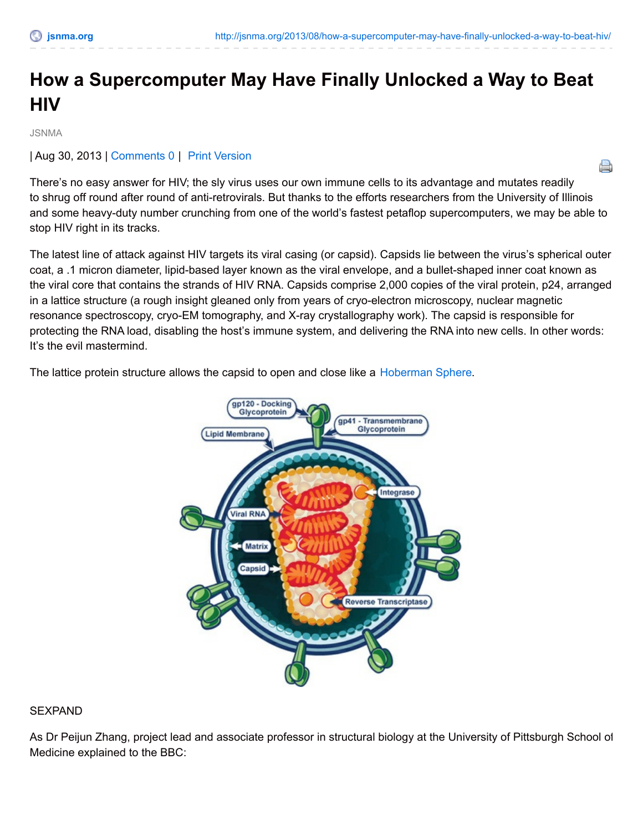A

# **How a Supercomputer May Have Finally Unlocked a Way to Beat HIV**

JSNMA

| Aug 30, 2013 | [Comments](http://jsnma.org/2013/08/how-a-supercomputer-may-have-finally-unlocked-a-way-to-beat-hiv/#comments) 0 | Print [Version](http://jsnma.org/2013/08/how-a-supercomputer-may-have-finally-unlocked-a-way-to-beat-hiv/print/)

There's no easy answer for HIV; the sly virus uses our own immune cells to its advantage and mutates readily to shrug off round after round of anti-retrovirals. But thanks to the efforts researchers from the University of Illinois and some heavy-duty number crunching from one of the world's fastest petaflop supercomputers, we may be able to stop HIV right in its tracks.

The latest line of attack against HIV targets its viral casing (or capsid). Capsids lie between the virus's spherical outer coat, a .1 micron diameter, lipid-based layer known as the viral envelope, and a bullet-shaped inner coat known as the viral core that contains the strands of HIV RNA. Capsids comprise 2,000 copies of the viral protein, p24, arranged in a lattice structure (a rough insight gleaned only from years of cryo-electron microscopy, nuclear magnetic resonance spectroscopy, cryo-EM tomography, and X-ray crystallography work). The capsid is responsible for protecting the RNA load, disabling the host's immune system, and delivering the RNA into new cells. In other words: It's the evil mastermind.

The lattice protein structure allows the capsid to open and close like a [Hoberman](http://www.officeplayground.com/Hoberman-Mini-Sphere-Rainbow-P212.aspx?utm_source=googlebase&utm_medium=comparisonshopping&utm_term=1507&utm_campaign=productfeed&gclid=CNeJ94PwwLcCFUQ6Qgodu0EAFQ) Sphere.



### **SEXPAND**

As Dr Peijun Zhang, project lead and associate professor in structural biology at the University of Pittsburgh School of Medicine explained to the BBC: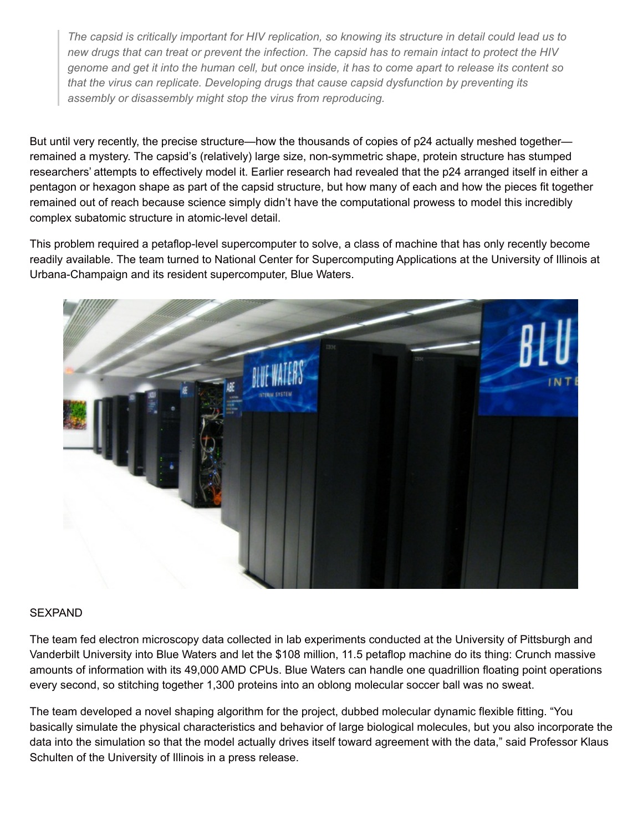The capsid is critically important for HIV replication, so knowing its structure in detail could lead us to new drugs that can treat or prevent the infection. The capsid has to remain intact to protect the HIV genome and get it into the human cell, but once inside, it has to come apart to release its content so *that the virus can replicate. Developing drugs that cause capsid dysfunction by preventing its assembly or disassembly might stop the virus from reproducing.*

But until very recently, the precise structure—how the thousands of copies of p24 actually meshed together remained a mystery. The capsid's (relatively) large size, non-symmetric shape, protein structure has stumped researchers' attempts to effectively model it. Earlier research had revealed that the p24 arranged itself in either a pentagon or hexagon shape as part of the capsid structure, but how many of each and how the pieces fit together remained out of reach because science simply didn't have the computational prowess to model this incredibly complex subatomic structure in atomic-level detail.

This problem required a petaflop-level supercomputer to solve, a class of machine that has only recently become readily available. The team turned to National Center for Supercomputing Applications at the University of Illinois at Urbana-Champaign and its resident supercomputer, Blue Waters.



### SEXPAND

The team fed electron microscopy data collected in lab experiments conducted at the University of Pittsburgh and Vanderbilt University into Blue Waters and let the \$108 million, 11.5 petaflop machine do its thing: Crunch massive amounts of information with its 49,000 AMD CPUs. Blue Waters can handle one quadrillion floating point operations every second, so stitching together 1,300 proteins into an oblong molecular soccer ball was no sweat.

The team developed a novel shaping algorithm for the project, dubbed molecular dynamic flexible fitting. "You basically simulate the physical characteristics and behavior of large biological molecules, but you also incorporate the data into the simulation so that the model actually drives itself toward agreement with the data," said Professor Klaus Schulten of the University of Illinois in a press release.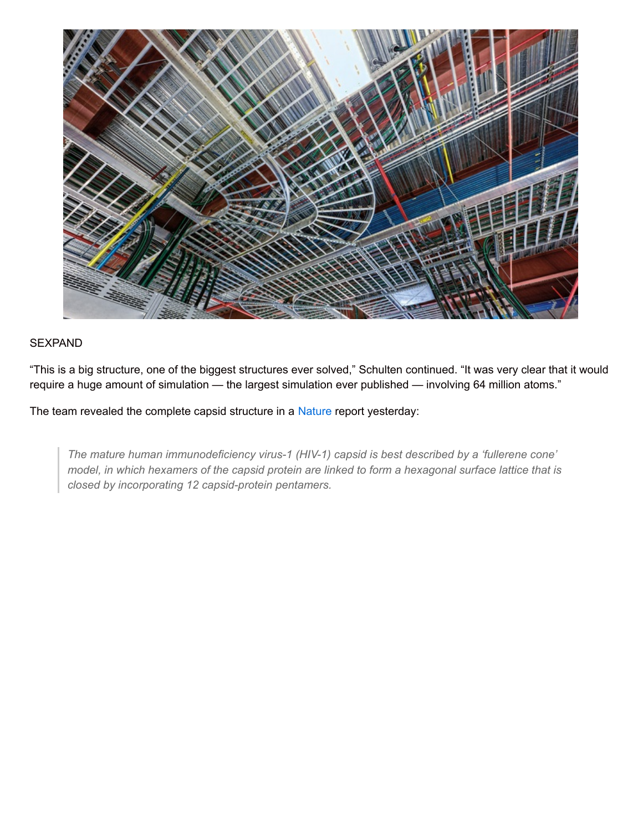

## SEXPAND

"This is a big structure, one of the biggest structures ever solved," Schulten continued. "It was very clear that it would require a huge amount of simulation — the largest simulation ever published — involving 64 million atoms."

The team revealed the complete capsid structure in a [Nature](http://www.nature.com/nature/journal/v497/n7451/full/nature12162.html) report yesterday:

*The mature human immunodeficiency virus-1 (HIV-1) capsid is best described by a 'fullerene cone'* model, in which hexamers of the capsid protein are linked to form a hexagonal surface lattice that is *closed by incorporating 12 capsid-protein pentamers.*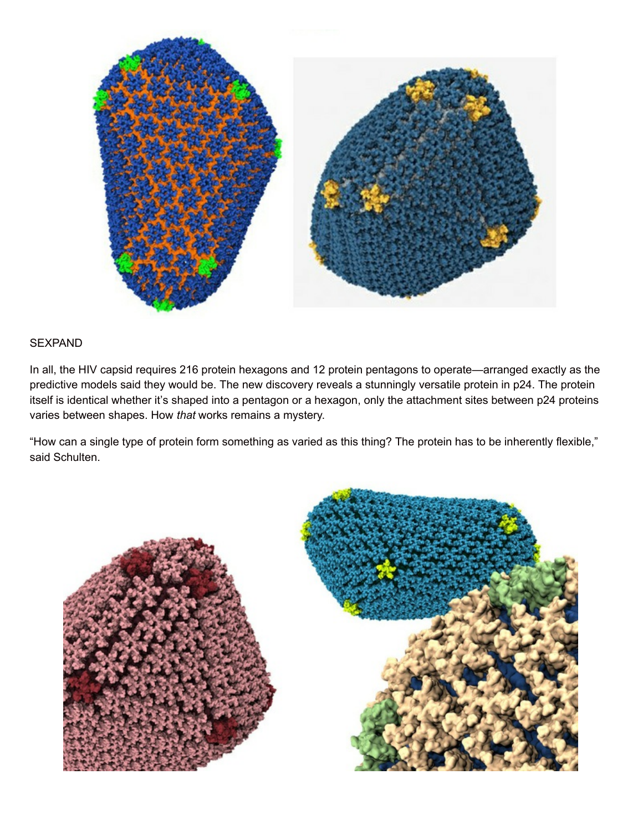

## **SEXPAND**

In all, the HIV capsid requires 216 protein hexagons and 12 protein pentagons to operate—arranged exactly as the predictive models said they would be. The new discovery reveals a stunningly versatile protein in p24. The protein itself is identical whether it's shaped into a pentagon or a hexagon, only the attachment sites between p24 proteins varies between shapes. How *that* works remains a mystery.

"How can a single type of protein form something as varied as this thing? The protein has to be inherently flexible," said Schulten.